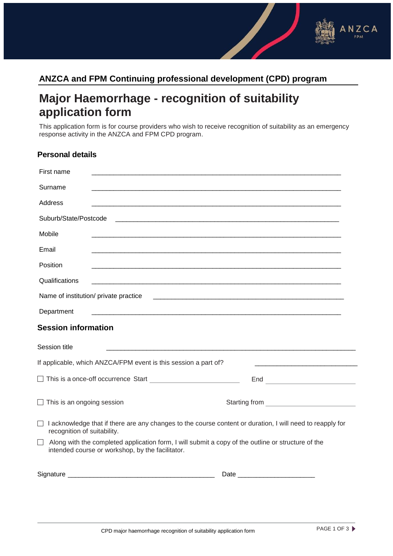

## **Major Haemorrhage - recognition of suitability application form**

This application form is for course providers who wish to receive recognition of suitability as an emergency response activity in the ANZCA and FPM CPD program.

## **Personal details**

| First name                                                                                                                                                        |               |  |
|-------------------------------------------------------------------------------------------------------------------------------------------------------------------|---------------|--|
| Surname                                                                                                                                                           |               |  |
| Address                                                                                                                                                           |               |  |
| Suburb/State/Postcode                                                                                                                                             |               |  |
| Mobile                                                                                                                                                            |               |  |
| Email                                                                                                                                                             |               |  |
| Position                                                                                                                                                          |               |  |
| Qualifications                                                                                                                                                    |               |  |
| Name of institution/ private practice                                                                                                                             |               |  |
| Department                                                                                                                                                        |               |  |
| <b>Session information</b>                                                                                                                                        |               |  |
| Session title                                                                                                                                                     |               |  |
| If applicable, which ANZCA/FPM event is this session a part of?                                                                                                   |               |  |
| This is a once-off occurrence Start <b>Constant of the Start</b>                                                                                                  |               |  |
| $\Box$ This is an ongoing session                                                                                                                                 | Starting from |  |
| I acknowledge that if there are any changes to the course content or duration, I will need to reapply for<br>recognition of suitability.                          |               |  |
| $\perp$<br>Along with the completed application form, I will submit a copy of the outline or structure of the<br>intended course or workshop, by the facilitator. |               |  |
|                                                                                                                                                                   |               |  |

ANZCA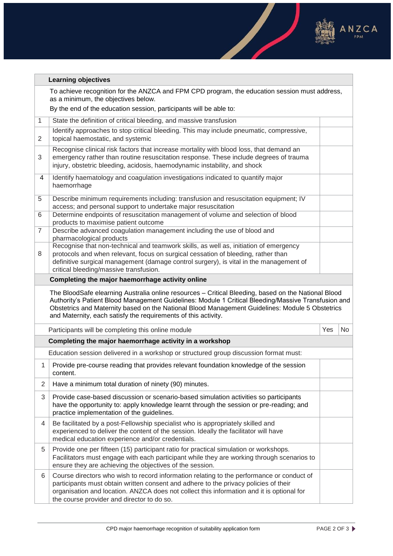

**Service** 

 $\overline{\phantom{a}}$ 

|                | <b>Learning objectives</b>                                                                                                                                                                                                                                                                                                                                                      |     |     |  |
|----------------|---------------------------------------------------------------------------------------------------------------------------------------------------------------------------------------------------------------------------------------------------------------------------------------------------------------------------------------------------------------------------------|-----|-----|--|
|                | To achieve recognition for the ANZCA and FPM CPD program, the education session must address,<br>as a minimum, the objectives below.                                                                                                                                                                                                                                            |     |     |  |
|                | By the end of the education session, participants will be able to:                                                                                                                                                                                                                                                                                                              |     |     |  |
| 1              | State the definition of critical bleeding, and massive transfusion                                                                                                                                                                                                                                                                                                              |     |     |  |
| 2              | Identify approaches to stop critical bleeding. This may include pneumatic, compressive,<br>topical haemostatic, and systemic                                                                                                                                                                                                                                                    |     |     |  |
| 3              | Recognise clinical risk factors that increase mortality with blood loss, that demand an<br>emergency rather than routine resuscitation response. These include degrees of trauma<br>injury, obstetric bleeding, acidosis, haemodynamic instability, and shock                                                                                                                   |     |     |  |
| 4              | Identify haematology and coagulation investigations indicated to quantify major<br>haemorrhage                                                                                                                                                                                                                                                                                  |     |     |  |
| 5              | Describe minimum requirements including: transfusion and resuscitation equipment; IV<br>access; and personal support to undertake major resuscitation                                                                                                                                                                                                                           |     |     |  |
| 6              | Determine endpoints of resuscitation management of volume and selection of blood<br>products to maximise patient outcome                                                                                                                                                                                                                                                        |     |     |  |
| $\overline{7}$ | Describe advanced coagulation management including the use of blood and<br>pharmacological products                                                                                                                                                                                                                                                                             |     |     |  |
| 8              | Recognise that non-technical and teamwork skills, as well as, initiation of emergency<br>protocols and when relevant, focus on surgical cessation of bleeding, rather than<br>definitive surgical management (damage control surgery), is vital in the management of<br>critical bleeding/massive transfusion.                                                                  |     |     |  |
|                | Completing the major haemorrhage activity online                                                                                                                                                                                                                                                                                                                                |     |     |  |
|                | The BloodSafe elearning Australia online resources - Critical Bleeding, based on the National Blood<br>Authority's Patient Blood Management Guidelines: Module 1 Critical Bleeding/Massive Transfusion and<br>Obstetrics and Maternity based on the National Blood Management Guidelines: Module 5 Obstetrics<br>and Maternity, each satisfy the requirements of this activity. |     |     |  |
|                | Participants will be completing this online module                                                                                                                                                                                                                                                                                                                              | Yes | No. |  |
|                | Completing the major haemorrhage activity in a workshop                                                                                                                                                                                                                                                                                                                         |     |     |  |
|                | Education session delivered in a workshop or structured group discussion format must:                                                                                                                                                                                                                                                                                           |     |     |  |
| 1              | Provide pre-course reading that provides relevant foundation knowledge of the session<br>content.                                                                                                                                                                                                                                                                               |     |     |  |
| $\overline{2}$ | Have a minimum total duration of ninety (90) minutes.                                                                                                                                                                                                                                                                                                                           |     |     |  |
| 3              | Provide case-based discussion or scenario-based simulation activities so participants<br>have the opportunity to: apply knowledge learnt through the session or pre-reading; and<br>practice implementation of the guidelines.                                                                                                                                                  |     |     |  |
| 4              | Be facilitated by a post-Fellowship specialist who is appropriately skilled and<br>experienced to deliver the content of the session. Ideally the facilitator will have<br>medical education experience and/or credentials.                                                                                                                                                     |     |     |  |
| 5              | Provide one per fifteen (15) participant ratio for practical simulation or workshops.<br>Facilitators must engage with each participant while they are working through scenarios to<br>ensure they are achieving the objectives of the session.                                                                                                                                 |     |     |  |
| 6              | Course directors who wish to record information relating to the performance or conduct of<br>participants must obtain written consent and adhere to the privacy policies of their<br>organisation and location. ANZCA does not collect this information and it is optional for<br>the course provider and director to do so.                                                    |     |     |  |